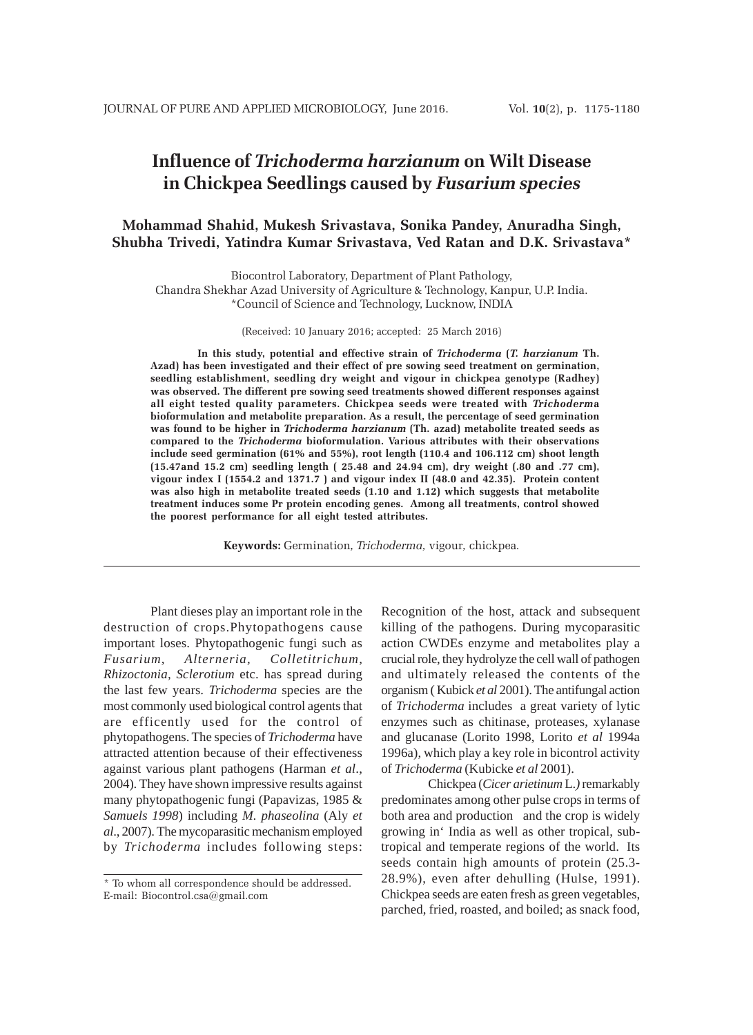# **Influence of** *Trichoderma harzianum* **on Wilt Disease in Chickpea Seedlings caused by** *Fusarium species*

## **Mohammad Shahid, Mukesh Srivastava, Sonika Pandey, Anuradha Singh, Shubha Trivedi, Yatindra Kumar Srivastava, Ved Ratan and D.K. Srivastava\***

Biocontrol Laboratory, Department of Plant Pathology, Chandra Shekhar Azad University of Agriculture & Technology, Kanpur, U.P. India. \*Council of Science and Technology, Lucknow, INDIA

(Received: 10 January 2016; accepted: 25 March 2016)

**In this study, potential and effective strain of** *Trichoderma* **(***T. harzianum* **Th. Azad) has been investigated and their effect of pre sowing seed treatment on germination, seedling establishment, seedling dry weight and vigour in chickpea genotype (Radhey) was observed. The different pre sowing seed treatments showed different responses against all eight tested quality parameters. Chickpea seeds were treated with** *Trichoderm***a bioformulation and metabolite preparation. As a result, the percentage of seed germination was found to be higher in** *Trichoderma harzianum* **(Th. azad) metabolite treated seeds as compared to the** *Trichoderma* **bioformulation. Various attributes with their observations include seed germination (61% and 55%), root length (110.4 and 106.112 cm) shoot length (15.47and 15.2 cm) seedling length ( 25.48 and 24.94 cm), dry weight (.80 and .77 cm), vigour index I (1554.2 and 1371.7 ) and vigour index II (48.0 and 42.35). Protein content was also high in metabolite treated seeds (1.10 and 1.12) which suggests that metabolite treatment induces some Pr protein encoding genes. Among all treatments, control showed the poorest performance for all eight tested attributes.**

**Keywords:** Germination*, Trichoderma,* vigour*,* chickpea*.*

Plant dieses play an important role in the destruction of crops.Phytopathogens cause important loses. Phytopathogenic fungi such as *Fusarium, Alterneria, Colletitrichum, Rhizoctonia, Sclerotium* etc. has spread during the last few years. *Trichoderma* species are the most commonly used biological control agents that are efficently used for the control of phytopathogens. The species of *Trichoderma* have attracted attention because of their effectiveness against various plant pathogens (Harman *et al*., 2004). They have shown impressive results against many phytopathogenic fungi (Papavizas, 1985 & *Samuels 1998*) including *M. phaseolina* (Aly *et al*., 2007). The mycoparasitic mechanism employed by *Trichoderma* includes following steps:

Recognition of the host, attack and subsequent killing of the pathogens. During mycoparasitic action CWDEs enzyme and metabolites play a crucial role, they hydrolyze the cell wall of pathogen and ultimately released the contents of the organism ( Kubick *et al* 2001). The antifungal action of *Trichoderma* includes a great variety of lytic enzymes such as chitinase, proteases, xylanase and glucanase (Lorito 1998, Lorito *et al* 1994a 1996a), which play a key role in bicontrol activity of *Trichoderma* (Kubicke *et al* 2001).

Chickpea (*Cicer arietinum* L.*)* remarkably predominates among other pulse crops in terms of both area and productionand the crop is widely growing in' India as well as other tropical, subtropical and temperate regions of the world. Its seeds contain high amounts of protein (25.3- 28.9%), even after dehulling (Hulse, 1991). Chickpea seeds are eaten fresh as green vegetables, parched, fried, roasted, and boiled; as snack food,

<sup>\*</sup> To whom all correspondence should be addressed. E-mail: Biocontrol.csa@gmail.com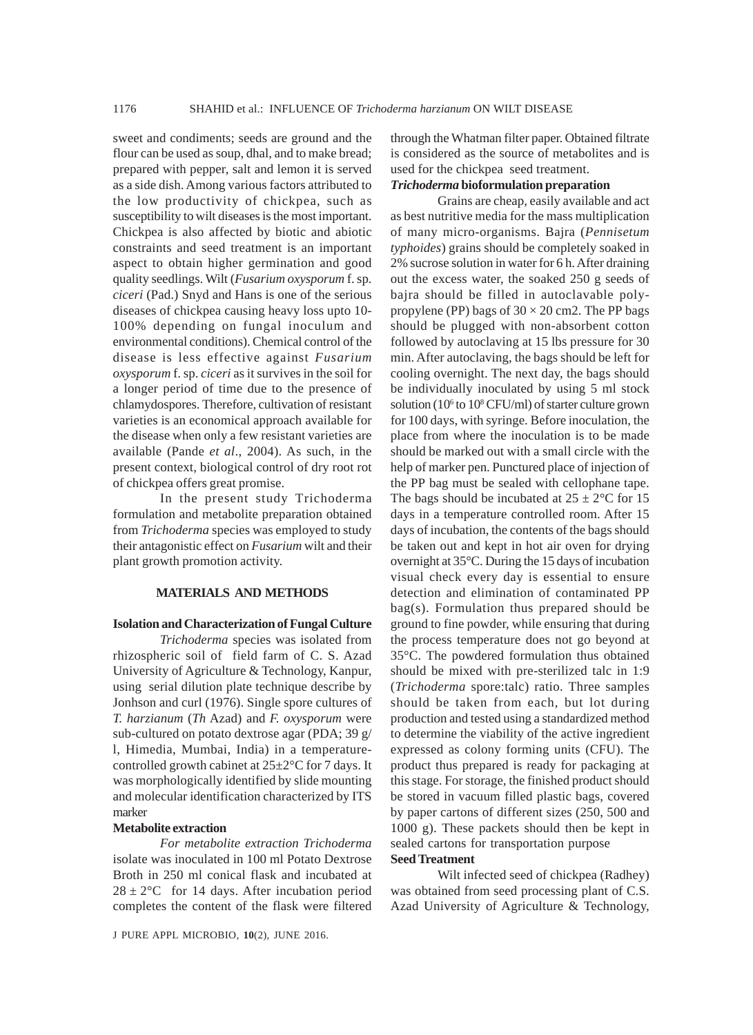sweet and condiments; seeds are ground and the flour can be used as soup, dhal, and to make bread; prepared with pepper, salt and lemon it is served as a side dish. Among various factors attributed to the low productivity of chickpea, such as susceptibility to wilt diseases is the most important. Chickpea is also affected by biotic and abiotic constraints and seed treatment is an important aspect to obtain higher germination and good quality seedlings. Wilt (*Fusarium oxysporum* f. sp. *ciceri* (Pad.) Snyd and Hans is one of the serious diseases of chickpea causing heavy loss upto 10- 100% depending on fungal inoculum and environmental conditions). Chemical control of the disease is less effective against *Fusarium oxysporum* f. sp. *ciceri* as it survives in the soil for a longer period of time due to the presence of chlamydospores. Therefore, cultivation of resistant varieties is an economical approach available for the disease when only a few resistant varieties are available (Pande *et al*., 2004). As such, in the present context, biological control of dry root rot of chickpea offers great promise.

In the present study Trichoderma formulation and metabolite preparation obtained from *Trichoderma* species was employed to study their antagonistic effect on *Fusarium* wilt and their plant growth promotion activity.

#### **MATERIALS AND METHODS**

## **Isolation and Characterization of Fungal Culture**

*Trichoderma* species was isolated from rhizospheric soil of field farm of C. S. Azad University of Agriculture & Technology, Kanpur, using serial dilution plate technique describe by Jonhson and curl (1976). Single spore cultures of *T. harzianum* (*Th* Azad) and *F. oxysporum* were sub-cultured on potato dextrose agar (PDA; 39 g/ l, Himedia, Mumbai, India) in a temperaturecontrolled growth cabinet at  $25\pm2\degree$ C for 7 days. It was morphologically identified by slide mounting and molecular identification characterized by ITS marker

### **Metabolite extraction**

*For metabolite extraction Trichoderma* isolate was inoculated in 100 ml Potato Dextrose Broth in 250 ml conical flask and incubated at  $28 \pm 2$ °C for 14 days. After incubation period completes the content of the flask were filtered

through the Whatman filter paper. Obtained filtrate is considered as the source of metabolites and is used for the chickpea seed treatment.

## *Trichoderma* **bioformulation preparation**

Grains are cheap, easily available and act as best nutritive media for the mass multiplication of many micro-organisms. Bajra (*Pennisetum typhoides*) grains should be completely soaked in 2% sucrose solution in water for 6 h. After draining out the excess water, the soaked 250 g seeds of bajra should be filled in autoclavable polypropylene (PP) bags of  $30 \times 20$  cm2. The PP bags should be plugged with non-absorbent cotton followed by autoclaving at 15 lbs pressure for 30 min. After autoclaving, the bags should be left for cooling overnight. The next day, the bags should be individually inoculated by using 5 ml stock solution (10<sup>6</sup> to 10<sup>8</sup> CFU/ml) of starter culture grown for 100 days, with syringe. Before inoculation, the place from where the inoculation is to be made should be marked out with a small circle with the help of marker pen. Punctured place of injection of the PP bag must be sealed with cellophane tape. The bags should be incubated at  $25 \pm 2^{\circ}$ C for 15 days in a temperature controlled room. After 15 days of incubation, the contents of the bags should be taken out and kept in hot air oven for drying overnight at 35°C. During the 15 days of incubation visual check every day is essential to ensure detection and elimination of contaminated PP bag(s). Formulation thus prepared should be ground to fine powder, while ensuring that during the process temperature does not go beyond at 35°C. The powdered formulation thus obtained should be mixed with pre-sterilized talc in 1:9 (*Trichoderma* spore:talc) ratio. Three samples should be taken from each, but lot during production and tested using a standardized method to determine the viability of the active ingredient expressed as colony forming units (CFU). The product thus prepared is ready for packaging at this stage. For storage, the finished product should be stored in vacuum filled plastic bags, covered by paper cartons of different sizes (250, 500 and 1000 g). These packets should then be kept in sealed cartons for transportation purpose

## **Seed Treatment**

Wilt infected seed of chickpea (Radhey) was obtained from seed processing plant of C.S. Azad University of Agriculture & Technology,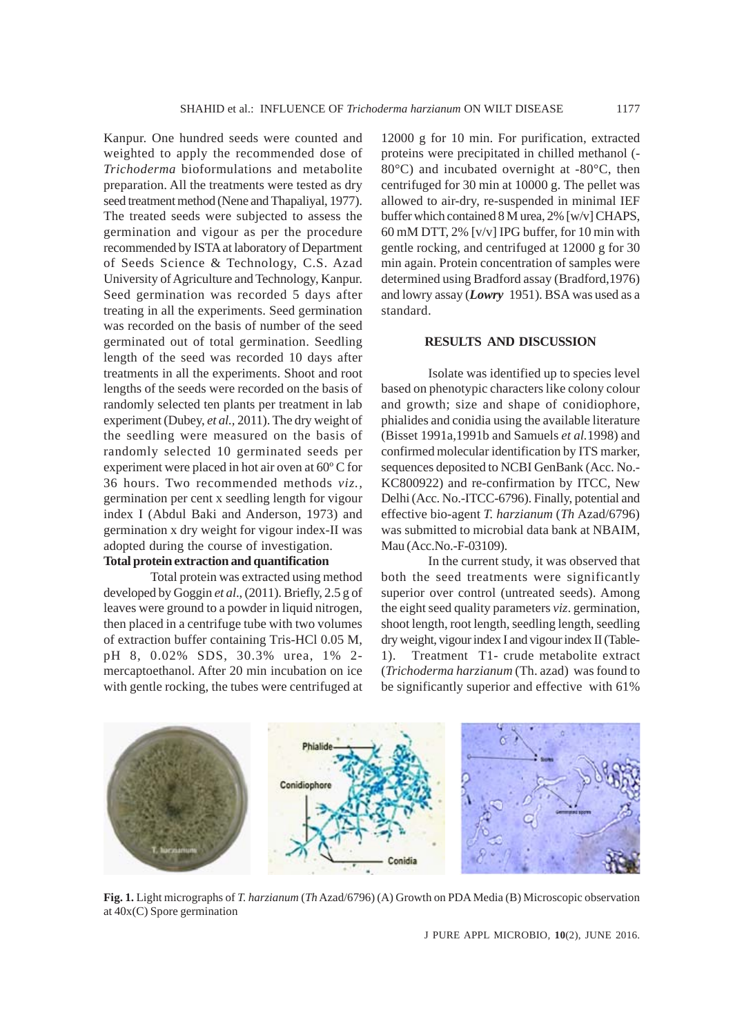Kanpur. One hundred seeds were counted and weighted to apply the recommended dose of *Trichoderma* bioformulations and metabolite preparation. All the treatments were tested as dry seed treatment method (Nene and Thapaliyal, 1977). The treated seeds were subjected to assess the germination and vigour as per the procedure recommended by ISTA at laboratory of Department of Seeds Science & Technology, C.S. Azad University of Agriculture and Technology, Kanpur. Seed germination was recorded 5 days after treating in all the experiments. Seed germination was recorded on the basis of number of the seed germinated out of total germination. Seedling length of the seed was recorded 10 days after treatments in all the experiments. Shoot and root lengths of the seeds were recorded on the basis of randomly selected ten plants per treatment in lab experiment (Dubey, *et al.,* 2011). The dry weight of the seedling were measured on the basis of randomly selected 10 germinated seeds per experiment were placed in hot air oven at 60º C for 36 hours. Two recommended methods *viz.,* germination per cent x seedling length for vigour index I (Abdul Baki and Anderson, 1973) and germination x dry weight for vigour index-II was adopted during the course of investigation. **Total protein extraction and quantification**

Total protein was extracted using method developed by Goggin *et al*., (2011). Briefly, 2.5 g of leaves were ground to a powder in liquid nitrogen, then placed in a centrifuge tube with two volumes of extraction buffer containing Tris-HCl 0.05 M, pH 8, 0.02% SDS, 30.3% urea, 1% 2 mercaptoethanol. After 20 min incubation on ice with gentle rocking, the tubes were centrifuged at 12000 g for 10 min. For purification, extracted proteins were precipitated in chilled methanol (- 80°C) and incubated overnight at -80°C, then centrifuged for 30 min at 10000 g. The pellet was allowed to air-dry, re-suspended in minimal IEF buffer which contained 8 M urea, 2% [w/v] CHAPS, 60 mM DTT, 2% [v/v] IPG buffer, for 10 min with gentle rocking, and centrifuged at 12000 g for 30 min again. Protein concentration of samples were determined using Bradford assay (Bradford,1976) and lowry assay (*Lowry* 1951). BSA was used as a standard.

#### **RESULTS AND DISCUSSION**

Isolate was identified up to species level based on phenotypic characters like colony colour and growth; size and shape of conidiophore, phialides and conidia using the available literature (Bisset 1991a,1991b and Samuels *et al.*1998) and confirmed molecular identification by ITS marker, sequences deposited to NCBI GenBank (Acc. No.- KC800922) and re-confirmation by ITCC, New Delhi (Acc. No.-ITCC-6796). Finally, potential and effective bio-agent *T. harzianum* (*Th* Azad/6796) was submitted to microbial data bank at NBAIM, Mau (Acc.No.-F-03109).

In the current study, it was observed that both the seed treatments were significantly superior over control (untreated seeds). Among the eight seed quality parameters *viz*. germination, shoot length, root length, seedling length, seedling dry weight, vigour index I and vigour index II (Table-1). Treatment T1- crude metabolite extract (*Trichoderma harzianum* (Th. azad) was found to be significantly superior and effective with 61%



**Fig. 1.** Light micrographs of *T. harzianum* (*Th* Azad/6796) (A) Growth on PDA Media (B) Microscopic observation at 40x(C) Spore germination

J PURE APPL MICROBIO*,* **10**(2), JUNE 2016.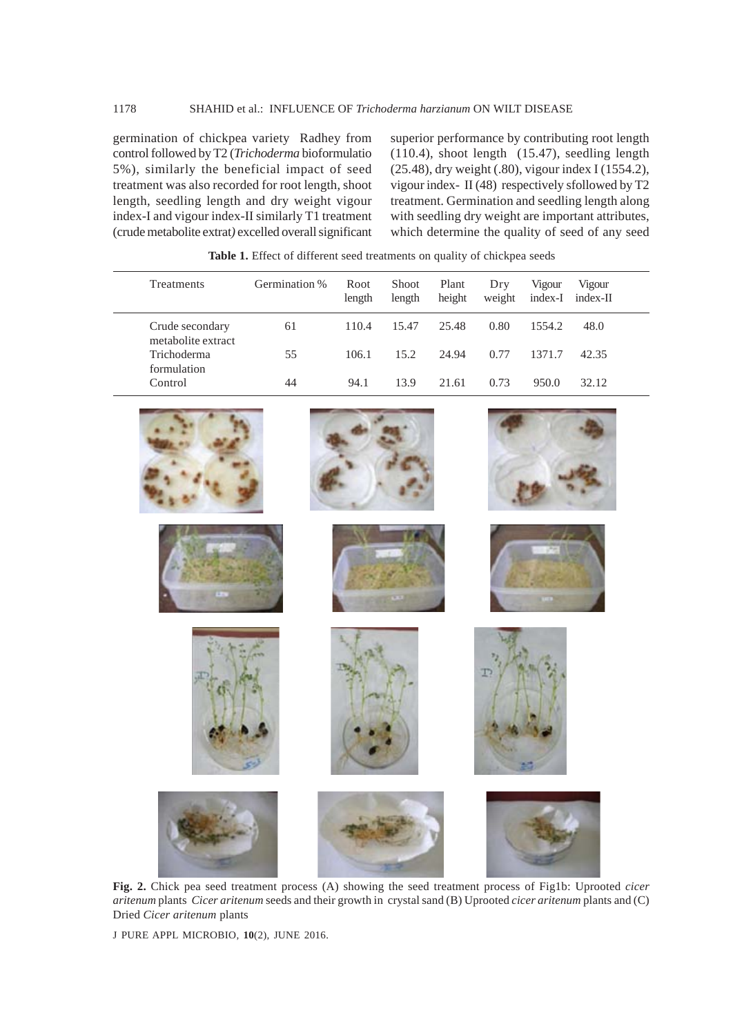germination of chickpea variety Radhey from control followed by T2 (*Trichoderma* bioformulatio 5%), similarly the beneficial impact of seed treatment was also recorded for root length, shoot length, seedling length and dry weight vigour index-I and vigour index-II similarly T1 treatment (crude metabolite extrat*)* excelled overall significant superior performance by contributing root length (110.4), shoot length (15.47), seedling length (25.48), dry weight (.80), vigour index I (1554.2), vigour index- II (48) respectively sfollowed by T2 treatment. Germination and seedling length along with seedling dry weight are important attributes, which determine the quality of seed of any seed

| <b>THERE</b> If EXPOSED WILLOCHE SOCO ILCOMMODES ON QUALITY OF CHICKPON SOCOS |               |                |                        |                 |               |                   |                    |  |  |
|-------------------------------------------------------------------------------|---------------|----------------|------------------------|-----------------|---------------|-------------------|--------------------|--|--|
| Treatments                                                                    | Germination % | Root<br>length | <b>Shoot</b><br>length | Plant<br>height | Dry<br>weight | Vigour<br>index-I | Vigour<br>index-II |  |  |
| Crude secondary<br>metabolite extract                                         | 61            | 110.4          | 15.47                  | 25.48           | 0.80          | 1554.2            | 48.0               |  |  |
| Trichoderma<br>formulation                                                    | 55            | 106.1          | 15.2                   | 24.94           | 0.77          | 1371.7            | 42.35              |  |  |
| Control                                                                       | 44            | 94.1           | 13.9                   | 21.61           | 0.73          | 950.0             | 32.12              |  |  |

**Table 1.** Effect of different seed treatments on quality of chickpea seeds



**Fig. 2.** Chick pea seed treatment process (A) showing the seed treatment process of Fig1b: Uprooted *cicer aritenum* plants *Cicer aritenum* seeds and their growth in crystal sand (B) Uprooted *cicer aritenum* plants and (C) Dried *Cicer aritenum* plants

J PURE APPL MICROBIO*,* **10**(2), JUNE 2016.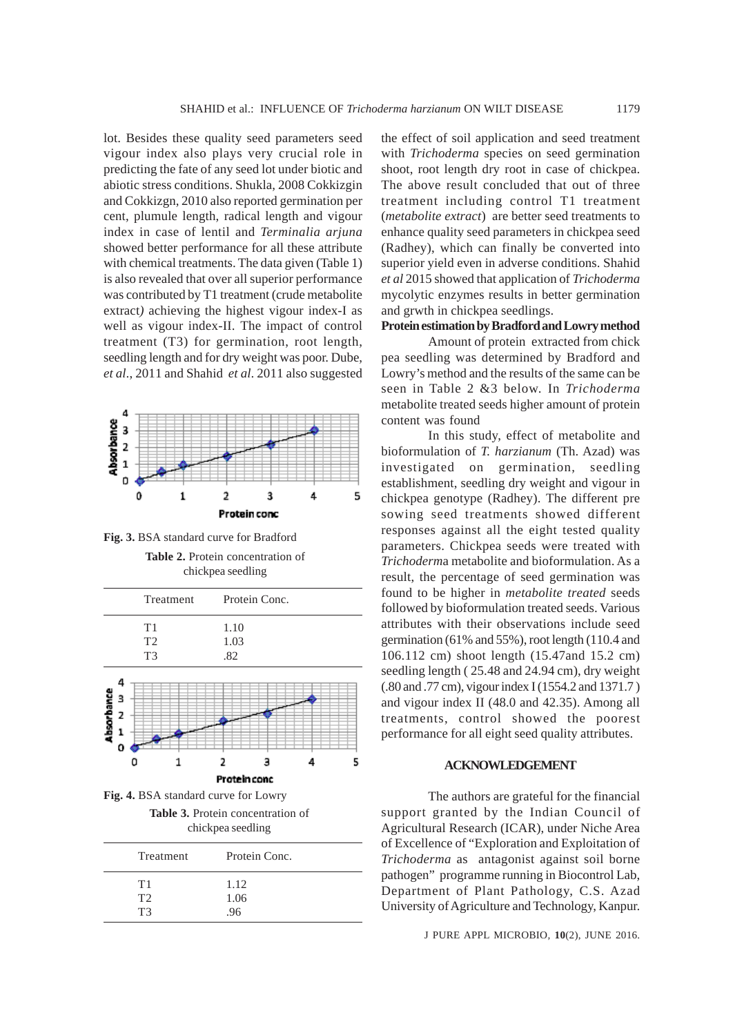lot. Besides these quality seed parameters seed vigour index also plays very crucial role in predicting the fate of any seed lot under biotic and abiotic stress conditions. Shukla, 2008 Cokkizgin and Cokkizgn, 2010 also reported germination per cent, plumule length, radical length and vigour index in case of lentil and *Terminalia arjuna* showed better performance for all these attribute with chemical treatments. The data given (Table 1) is also revealed that over all superior performance was contributed by T1 treatment (crude metabolite extract*)* achieving the highest vigour index-I as well as vigour index-II. The impact of control treatment (T3) for germination, root length, seedling length and for dry weight was poor. Dube, *et al*., 2011 and Shahid *et al*. 2011 also suggested



**Fig. 3.** BSA standard curve for Bradford

**Table 2.** Protein concentration of chickpea seedling



**Fig. 4.** BSA standard curve for Lowry **Table 3.** Protein concentration of chickpea seedling

| <b>Treatment</b> | Protein Conc. |
|------------------|---------------|
| T1               | 1.12          |
| T2               | 1.06          |
| T3               | .96           |

the effect of soil application and seed treatment with *Trichoderma* species on seed germination shoot, root length dry root in case of chickpea. The above result concluded that out of three treatment including control T1 treatment (*metabolite extract*) are better seed treatments to enhance quality seed parameters in chickpea seed (Radhey), which can finally be converted into superior yield even in adverse conditions. Shahid *et al* 2015 showed that application of *Trichoderma* mycolytic enzymes results in better germination and grwth in chickpea seedlings.

## **Protein estimation by Bradford and Lowry method**

Amount of protein extracted from chick pea seedling was determined by Bradford and Lowry's method and the results of the same can be seen in Table 2 &3 below. In *Trichoderma* metabolite treated seeds higher amount of protein content was found

In this study, effect of metabolite and bioformulation of *T. harzianum* (Th. Azad) was investigated on germination, seedling establishment, seedling dry weight and vigour in chickpea genotype (Radhey). The different pre sowing seed treatments showed different responses against all the eight tested quality parameters. Chickpea seeds were treated with *Trichoderm*a metabolite and bioformulation. As a result, the percentage of seed germination was found to be higher in *metabolite treated* seeds followed by bioformulation treated seeds. Various attributes with their observations include seed germination (61% and 55%), root length (110.4 and 106.112 cm) shoot length (15.47and 15.2 cm) seedling length ( 25.48 and 24.94 cm), dry weight (.80 and .77 cm), vigour index I (1554.2 and 1371.7 ) and vigour index II (48.0 and 42.35). Among all treatments, control showed the poorest performance for all eight seed quality attributes.

## **ACKNOWLEDGEMENT**

The authors are grateful for the financial support granted by the Indian Council of Agricultural Research (ICAR), under Niche Area of Excellence of "Exploration and Exploitation of *Trichoderma* as antagonist against soil borne pathogen" programme running in Biocontrol Lab, Department of Plant Pathology, C.S. Azad University of Agriculture and Technology, Kanpur.

J PURE APPL MICROBIO*,* **10**(2), JUNE 2016.